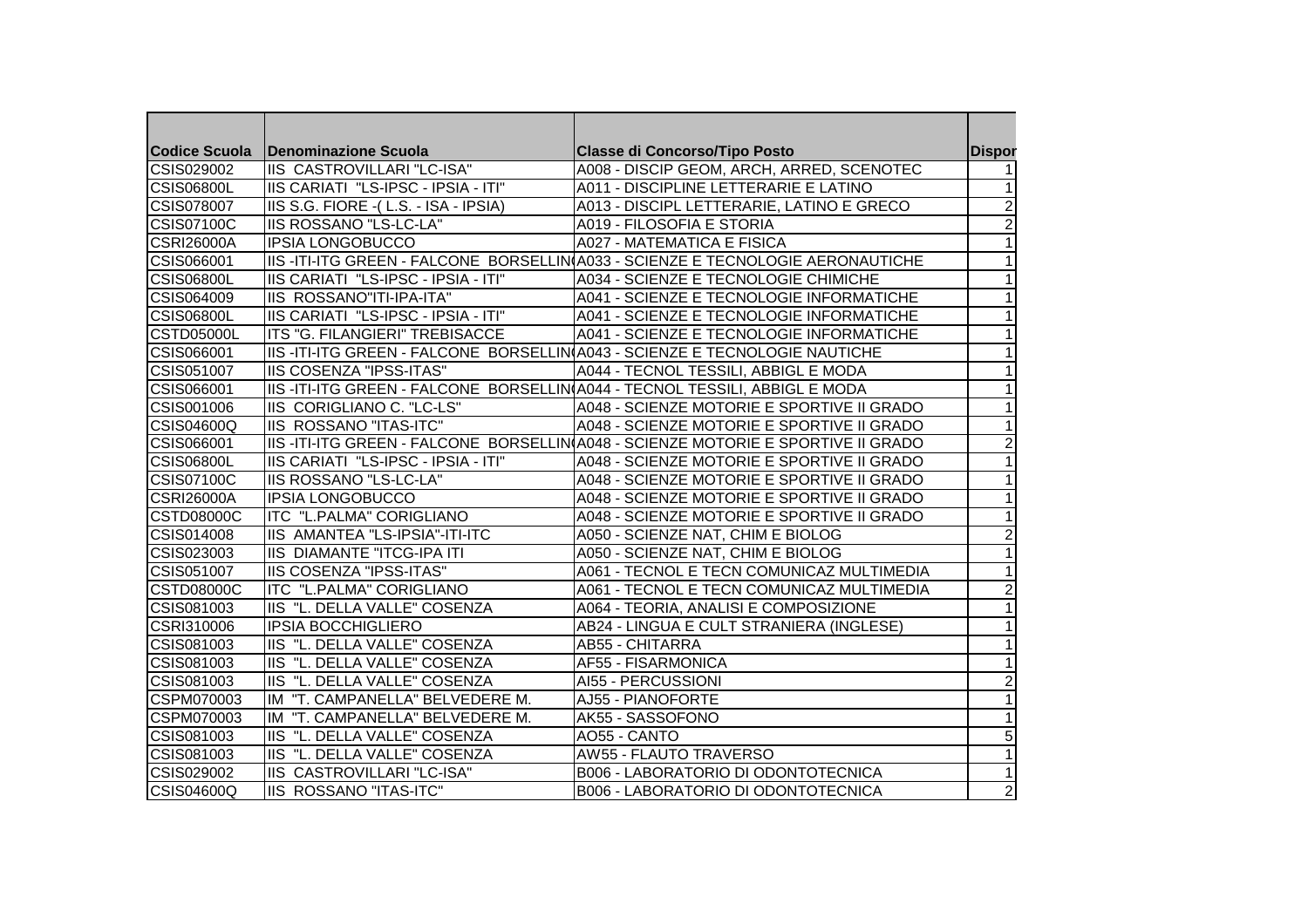|                   | Codice Scuola   Denominazione Scuola                                          | <b>Classe di Concorso/Tipo Posto</b>                                               | <b>Dispor</b>  |
|-------------------|-------------------------------------------------------------------------------|------------------------------------------------------------------------------------|----------------|
| CSIS029002        | IIS CASTROVILLARI "LC-ISA"                                                    | A008 - DISCIP GEOM, ARCH, ARRED, SCENOTEC                                          |                |
| <b>CSIS06800L</b> | IIS CARIATI "LS-IPSC - IPSIA - ITI"                                           | A011 - DISCIPLINE LETTERARIE E LATINO                                              | 1              |
| <b>CSIS078007</b> | IIS S.G. FIORE - (L.S. - ISA - IPSIA)                                         | A013 - DISCIPL LETTERARIE, LATINO E GRECO                                          | $\overline{2}$ |
| <b>CSIS07100C</b> | <b>IIS ROSSANO "LS-LC-LA"</b>                                                 | A019 - FILOSOFIA E STORIA                                                          | $\overline{2}$ |
| <b>CSRI26000A</b> | <b>IPSIA LONGOBUCCO</b>                                                       | <b>A027 - MATEMATICA E FISICA</b>                                                  |                |
| CSIS066001        |                                                                               | IIIS-ITI-ITG GREEN - FALCONE BORSELLIN(A033 - SCIENZE E TECNOLOGIE AERONAUTICHE    |                |
| <b>CSIS06800L</b> | IIS CARIATI "LS-IPSC - IPSIA - ITI"                                           | A034 - SCIENZE E TECNOLOGIE CHIMICHE                                               |                |
| CSIS064009        | IIS ROSSANO"ITI-IPA-ITA"                                                      | A041 - SCIENZE E TECNOLOGIE INFORMATICHE                                           |                |
| <b>CSIS06800L</b> | IIIS CARIATI  "LS-IPSC - IPSIA - ITI"                                         | A041 - SCIENZE E TECNOLOGIE INFORMATICHE                                           |                |
| <b>CSTD05000L</b> | ITS "G. FILANGIERI" TREBISACCE                                                | A041 - SCIENZE E TECNOLOGIE INFORMATICHE                                           |                |
| CSIS066001        |                                                                               | IIIS -ITI-ITG GREEN - FALCONE  BORSELLIN(A043 - SCIENZE E TECNOLOGIE NAUTICHE      | 1              |
| CSIS051007        | <b>IIS COSENZA "IPSS-ITAS"</b>                                                | A044 - TECNOL TESSILI, ABBIGL E MODA                                               | 1              |
| CSIS066001        | IIIS -ITI-ITG GREEN - FALCONE  BORSELLIN(A044 - TECNOL TESSILI, ABBIGL E MODA |                                                                                    | 1              |
| CSIS001006        | IIS CORIGLIANO C. "LC-LS"                                                     | A048 - SCIENZE MOTORIE E SPORTIVE II GRADO                                         |                |
| <b>CSIS04600Q</b> | <b>IIS ROSSANO "ITAS-ITC"</b>                                                 | A048 - SCIENZE MOTORIE E SPORTIVE II GRADO                                         | 1              |
| CSIS066001        |                                                                               | IIIS -ITI-ITG GREEN - FALCONE BORSELLIN(A048 - SCIENZE MOTORIE E SPORTIVE II GRADO | 2              |
| <b>CSIS06800L</b> | IIIS CARIATI  "LS-IPSC - IPSIA - ITI"                                         | A048 - SCIENZE MOTORIE E SPORTIVE II GRADO                                         |                |
| <b>CSIS07100C</b> | <b>IIS ROSSANO "LS-LC-LA"</b>                                                 | A048 - SCIENZE MOTORIE E SPORTIVE II GRADO                                         |                |
| <b>CSRI26000A</b> | <b>IPSIA LONGOBUCCO</b>                                                       | A048 - SCIENZE MOTORIE E SPORTIVE II GRADO                                         |                |
| <b>CSTD08000C</b> | ITC "L.PALMA" CORIGLIANO                                                      | A048 - SCIENZE MOTORIE E SPORTIVE II GRADO                                         |                |
| CSIS014008        | IIS AMANTEA "LS-IPSIA"-ITI-ITC                                                | A050 - SCIENZE NAT, CHIM E BIOLOG                                                  | $\overline{2}$ |
| CSIS023003        | <b>IIS DIAMANTE "ITCG-IPA ITI</b>                                             | A050 - SCIENZE NAT, CHIM E BIOLOG                                                  | $\mathbf{1}$   |
| CSIS051007        | <b>IIS COSENZA "IPSS-ITAS"</b>                                                | A061 - TECNOL E TECN COMUNICAZ MULTIMEDIA                                          |                |
| <b>CSTD08000C</b> | ITC "L.PALMA" CORIGLIANO                                                      | A061 - TECNOL E TECN COMUNICAZ MULTIMEDIA                                          | $\overline{2}$ |
| CSIS081003        | IIS "L. DELLA VALLE" COSENZA                                                  | A064 - TEORIA, ANALISI E COMPOSIZIONE                                              | $\overline{1}$ |
| CSRI310006        | <b>IPSIA BOCCHIGLIERO</b>                                                     | AB24 - LINGUA E CULT STRANIERA (INGLESE)                                           | 1              |
| CSIS081003        | IIS "L. DELLA VALLE" COSENZA                                                  | <b>AB55 - CHITARRA</b>                                                             |                |
| CSIS081003        | IIS "L. DELLA VALLE" COSENZA                                                  | AF55 - FISARMONICA                                                                 |                |
| CSIS081003        | IIS "L. DELLA VALLE" COSENZA                                                  | AI55 - PERCUSSIONI                                                                 | $\overline{2}$ |
| CSPM070003        | IM "T. CAMPANELLA" BELVEDERE M.                                               | AJ55 - PIANOFORTE                                                                  |                |
| CSPM070003        | IM "T. CAMPANELLA" BELVEDERE M.                                               | AK55 - SASSOFONO                                                                   |                |
| CSIS081003        | IIIS  "L. DELLA VALLE" COSENZA                                                | AO55 - CANTO                                                                       | 5              |
| CSIS081003        | IIIS  "L. DELLA VALLE" COSENZA                                                | AW55 - FLAUTO TRAVERSO                                                             |                |
| CSIS029002        | IIS CASTROVILLARI "LC-ISA"                                                    | <b>B006 - LABORATORIO DI ODONTOTECNICA</b>                                         |                |
| CSIS04600Q        | <b>IIS ROSSANO "ITAS-ITC"</b>                                                 | B006 - LABORATORIO DI ODONTOTECNICA                                                | $\overline{c}$ |